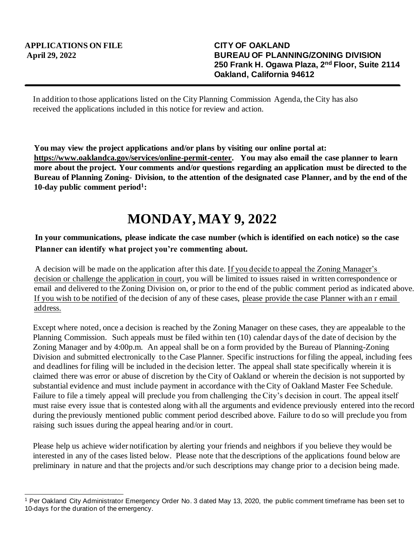In addition to those applications listed on the City Planning Commission Agenda, the City has also received the applications included in this notice for review and action.

**You may view the project applications and/or plans by visiting our online portal at: https://www.oaklandca.gov/services/online-permit-center. You may also email the case planner to learn more about the project. Your comments and/or questions regarding an application must be directed to the Bureau of Planning Zoning- Division, to the attention of the designated case Planner, and by the end of the 10-day public comment period<sup>1</sup> :**

## **MONDAY, MAY 9, 2022**

## **In your communications, please indicate the case number (which is identified on each notice) so the case Planner can identify what project you're commenting about.**

A decision will be made on the application after this date. If you decide to appeal the Zoning Manager's decision or challenge the application in court, you will be limited to issues raised in written correspondence or email and delivered to the Zoning Division on, or prior to the end of the public comment period as indicated above. If you wish to be notified of the decision of any of these cases, please provide the case Planner with an r email address.

Except where noted, once a decision is reached by the Zoning Manager on these cases, they are appealable to the Planning Commission. Such appeals must be filed within ten (10) calendar days of the date of decision by the Zoning Manager and by 4:00p.m. An appeal shall be on a form provided by the Bureau of Planning-Zoning Division and submitted electronically to the Case Planner. Specific instructions for filing the appeal, including fees and deadlines for filing will be included in the decision letter. The appeal shall state specifically wherein it is claimed there was error or abuse of discretion by the City of Oakland or wherein the decision is not supported by substantial evidence and must include payment in accordance with the City of Oakland Master Fee Schedule. Failure to file a timely appeal will preclude you from challenging the City's decision in court. The appeal itself must raise every issue that is contested along with all the arguments and evidence previously entered into the record during the previously mentioned public comment period described above. Failure to do so will preclude you from raising such issues during the appeal hearing and/or in court.

Please help us achieve wider notification by alerting your friends and neighbors if you believe they would be interested in any of the cases listed below. Please note that the descriptions of the applications found below are preliminary in nature and that the projects and/or such descriptions may change prior to a decision being made.

<sup>1</sup> Per Oakland City Administrator Emergency Order No. 3 dated May 13, 2020, the public comment timeframe has been set to 10-days for the duration of the emergency.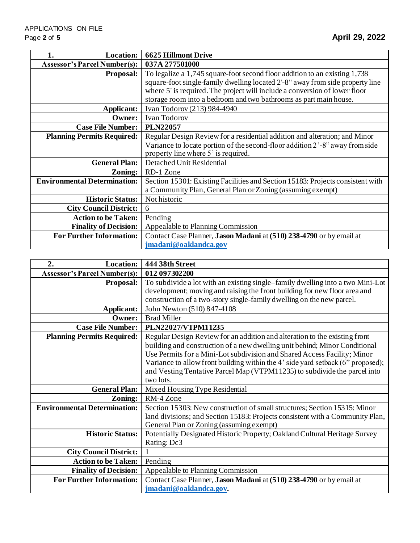| <b>Location:</b><br>1.              | <b>6625 Hillmont Drive</b>                                                                                                                                  |
|-------------------------------------|-------------------------------------------------------------------------------------------------------------------------------------------------------------|
| <b>Assessor's Parcel Number(s):</b> | 037A 277501000                                                                                                                                              |
| <b>Proposal:</b>                    | To legalize a 1,745 square-foot second floor addition to an existing 1,738<br>square-foot single-family dwelling located 2'-8" away from side property line |
|                                     | where 5' is required. The project will include a conversion of lower floor                                                                                  |
|                                     | storage room into a bedroom and two bathrooms as part main house.                                                                                           |
| Applicant:                          | Ivan Todorov (213) 984-4940                                                                                                                                 |
| Owner:                              | <b>Ivan Todorov</b>                                                                                                                                         |
| <b>Case File Number:</b>            | <b>PLN22057</b>                                                                                                                                             |
| <b>Planning Permits Required:</b>   | Regular Design Review for a residential addition and alteration; and Minor                                                                                  |
|                                     | Variance to locate portion of the second-floor addition 2'-8" away from side                                                                                |
|                                     | property line where 5' is required.                                                                                                                         |
| <b>General Plan:</b>                | Detached Unit Residential                                                                                                                                   |
| Zoning:                             | RD-1 Zone                                                                                                                                                   |
| <b>Environmental Determination:</b> | Section 15301: Existing Facilities and Section 15183: Projects consistent with                                                                              |
|                                     | a Community Plan, General Plan or Zoning (assuming exempt)                                                                                                  |
| <b>Historic Status:</b>             | Not historic                                                                                                                                                |
| <b>City Council District:</b>       | 6                                                                                                                                                           |
| <b>Action to be Taken:</b>          | Pending                                                                                                                                                     |
| <b>Finality of Decision:</b>        | Appealable to Planning Commission                                                                                                                           |
| <b>For Further Information:</b>     | Contact Case Planner, Jason Madani at (510) 238-4790 or by email at                                                                                         |
|                                     | jmadani@oaklandca.gov                                                                                                                                       |

| <b>Location:</b><br>2.              | 444 38th Street                                                                 |
|-------------------------------------|---------------------------------------------------------------------------------|
| <b>Assessor's Parcel Number(s):</b> | 012 097302200                                                                   |
| <b>Proposal:</b>                    | To subdivide a lot with an existing single-family dwelling into a two Mini-Lot  |
|                                     | development; moving and raising the front building for new floor area and       |
|                                     | construction of a two-story single-family dwelling on the new parcel.           |
| Applicant:                          | John Newton (510) 847-4108                                                      |
| Owner:                              | <b>Brad Miller</b>                                                              |
| <b>Case File Number:</b>            | PLN22027/VTPM11235                                                              |
| <b>Planning Permits Required:</b>   | Regular Design Review for an addition and alteration to the existing front      |
|                                     | building and construction of a new dwelling unit behind; Minor Conditional      |
|                                     | Use Permits for a Mini-Lot subdivision and Shared Access Facility; Minor        |
|                                     | Variance to allow front building within the 4' side yard setback (6" proposed); |
|                                     | and Vesting Tentative Parcel Map (VTPM11235) to subdivide the parcel into       |
|                                     | two lots.                                                                       |
| <b>General Plan:</b>                | Mixed Housing Type Residential                                                  |
| Zoning:                             | RM-4 Zone                                                                       |
| <b>Environmental Determination:</b> | Section 15303: New construction of small structures; Section 15315: Minor       |
|                                     | land divisions; and Section 15183: Projects consistent with a Community Plan,   |
|                                     | General Plan or Zoning (assuming exempt)                                        |
| <b>Historic Status:</b>             | Potentially Designated Historic Property; Oakland Cultural Heritage Survey      |
|                                     | Rating: Dc3                                                                     |
| <b>City Council District:</b>       |                                                                                 |
| <b>Action to be Taken:</b>          | Pending                                                                         |
| <b>Finality of Decision:</b>        | Appealable to Planning Commission                                               |
| <b>For Further Information:</b>     | Contact Case Planner, Jason Madani at (510) 238-4790 or by email at             |
|                                     | jmadani@oaklandca.gov.                                                          |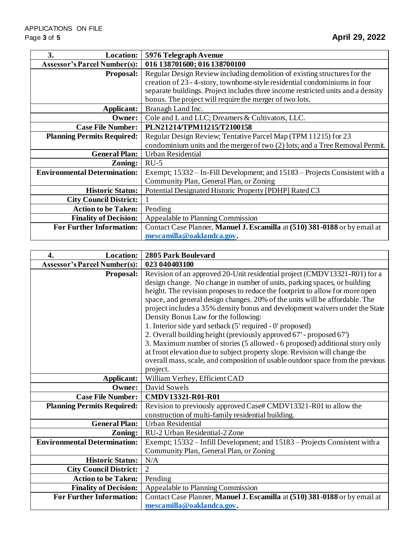| 3.<br><b>Location:</b>              | 5976 Telegraph Avenue                                                            |
|-------------------------------------|----------------------------------------------------------------------------------|
| <b>Assessor's Parcel Number(s):</b> | 016 138701600; 016 138700100                                                     |
| <b>Proposal:</b>                    | Regular Design Review including demolition of existing structures for the        |
|                                     | creation of 23 - 4-story, townhome-style residential condominiums in four        |
|                                     | separate buildings. Project includes three income restricted units and a density |
|                                     | bonus. The project will require the merger of two lots.                          |
| Applicant:                          | Branagh Land Inc.                                                                |
| Owner:                              | Cole and L and LLC; Dreamers & Cultivators, LLC.                                 |
| <b>Case File Number:</b>            | PLN21214/TPM11215/T2100158                                                       |
| <b>Planning Permits Required:</b>   | Regular Design Review; Tentative Parcel Map (TPM 11215) for 23                   |
|                                     | condominium units and the merger of two (2) lots; and a Tree Removal Permit.     |
| <b>General Plan:</b>                | <b>Urban Residential</b>                                                         |
| Zoning:                             | $RU-5$                                                                           |
| <b>Environmental Determination:</b> | Exempt; 15332 – In-Fill Development; and 15183 – Projects Consistent with a      |
|                                     | Community Plan, General Plan, or Zoning                                          |
| <b>Historic Status:</b>             | Potential Designated Historic Property [PDHP] Rated C3                           |
| <b>City Council District:</b>       |                                                                                  |
| <b>Action to be Taken:</b>          | Pending                                                                          |
| <b>Finality of Decision:</b>        | Appealable to Planning Commission                                                |
| <b>For Further Information:</b>     | Contact Case Planner, Manuel J. Escamilla at (510) 381-0188 or by email at       |
|                                     | mescamilla@oaklandca.gov.                                                        |

| 4.<br><b>Location:</b>              | 2805 Park Boulevard                                                                                                                                |
|-------------------------------------|----------------------------------------------------------------------------------------------------------------------------------------------------|
| <b>Assessor's Parcel Number(s):</b> | 023 040403100                                                                                                                                      |
| Proposal:                           | Revision of an approved 20-Unit residential project (CMDV13321-R01) for a                                                                          |
|                                     | design change. No change in number of units, parking spaces, or building                                                                           |
|                                     | height. The revision proposes to reduce the footprint to allow for more open                                                                       |
|                                     | space, and general design changes. 20% of the units will be affordable. The                                                                        |
|                                     | project includes a 35% density bonus and development waivers under the State                                                                       |
|                                     | Density Bonus Law for the following:                                                                                                               |
|                                     | 1. Interior side yard setback (5' required - 0' proposed)                                                                                          |
|                                     | 2. Overall building height (previously approved 67' - proposed 67')<br>3. Maximum number of stories (5 allowed - 6 proposed) additional story only |
|                                     | at front elevation due to subject property slope. Revision will change the                                                                         |
|                                     | overall mass, scale, and composition of usable outdoor space from the previous                                                                     |
|                                     | project.                                                                                                                                           |
| Applicant:                          | William Verhey, Efficient CAD                                                                                                                      |
| Owner:                              | David Sowels                                                                                                                                       |
| <b>Case File Number:</b>            | CMDV13321-R01-R01                                                                                                                                  |
| <b>Planning Permits Required:</b>   | Revision to previously approved Case# CMDV13321-R01 to allow the                                                                                   |
|                                     | construction of multi-family residential building.                                                                                                 |
| <b>General Plan:</b>                | <b>Urban Residential</b>                                                                                                                           |
| Zoning:                             | RU-2 Urban Residential-2 Zone                                                                                                                      |
| <b>Environmental Determination:</b> | Exempt; 15332 - Infill Development; and 15183 - Projects Consistent with a                                                                         |
|                                     | Community Plan, General Plan, or Zoning                                                                                                            |
| <b>Historic Status:</b>             | N/A                                                                                                                                                |
| <b>City Council District:</b>       | $\overline{2}$                                                                                                                                     |
| <b>Action to be Taken:</b>          | Pending                                                                                                                                            |
| <b>Finality of Decision:</b>        | Appealable to Planning Commission                                                                                                                  |
| <b>For Further Information:</b>     | Contact Case Planner, Manuel J. Escamilla at (510) 381-0188 or by email at                                                                         |
|                                     | mescamilla@oaklandca.gov.                                                                                                                          |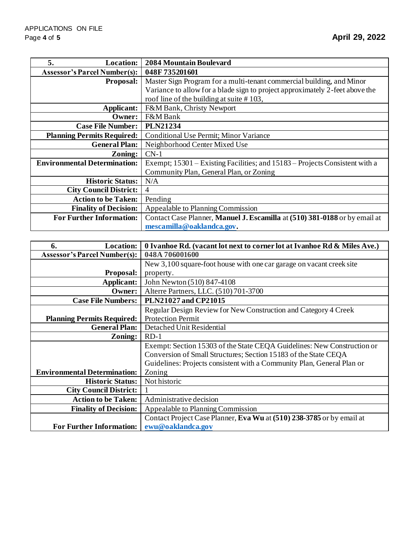| 5.<br><b>Location:</b>              | <b>2084 Mountain Boulevard</b>                                               |
|-------------------------------------|------------------------------------------------------------------------------|
| <b>Assessor's Parcel Number(s):</b> | 048F735201601                                                                |
| <b>Proposal:</b>                    | Master Sign Program for a multi-tenant commercial building, and Minor        |
|                                     | Variance to allow for a blade sign to project approximately 2-feet above the |
|                                     | roof line of the building at suite $# 103$ ,                                 |
| Applicant:                          | F&M Bank, Christy Newport                                                    |
| Owner:                              | F&M Bank                                                                     |
| <b>Case File Number:</b>            | <b>PLN21234</b>                                                              |
| <b>Planning Permits Required:</b>   | Conditional Use Permit; Minor Variance                                       |
| <b>General Plan:</b>                | Neighborhood Center Mixed Use                                                |
| Zoning:                             | $CN-1$                                                                       |
| <b>Environmental Determination:</b> | Exempt; 15301 – Existing Facilities; and 15183 – Projects Consistent with a  |
|                                     | Community Plan, General Plan, or Zoning                                      |
| <b>Historic Status:</b>             | N/A                                                                          |
| <b>City Council District:</b>       | 4                                                                            |
| <b>Action to be Taken:</b>          | Pending                                                                      |
| <b>Finality of Decision:</b>        | Appealable to Planning Commission                                            |
| <b>For Further Information:</b>     | Contact Case Planner, Manuel J. Escamilla at (510) 381-0188 or by email at   |
|                                     | mescamilla@oaklandca.gov.                                                    |

| <b>Location:</b><br>6.              | 0 Ivanhoe Rd. (vacant lot next to corner lot at Ivanhoe Rd & Miles Ave.) |
|-------------------------------------|--------------------------------------------------------------------------|
| <b>Assessor's Parcel Number(s):</b> | 048A 706001600                                                           |
|                                     | New 3,100 square-foot house with one car garage on vacant creek site     |
| <b>Proposal:</b>                    | property.                                                                |
| Applicant:                          | John Newton (510) 847-4108                                               |
| Owner:                              | Alterre Partners, LLC. (510) 701-3700                                    |
| <b>Case File Numbers:</b>           | PLN21027 and CP21015                                                     |
|                                     | Regular Design Review for New Construction and Category 4 Creek          |
| <b>Planning Permits Required:</b>   | <b>Protection Permit</b>                                                 |
| <b>General Plan:</b>                | Detached Unit Residential                                                |
| Zoning:                             | $RD-1$                                                                   |
|                                     | Exempt: Section 15303 of the State CEQA Guidelines: New Construction or  |
|                                     | Conversion of Small Structures; Section 15183 of the State CEQA          |
|                                     | Guidelines: Projects consistent with a Community Plan, General Plan or   |
| <b>Environmental Determination:</b> | Zoning                                                                   |
| <b>Historic Status:</b>             | Not historic                                                             |
| <b>City Council District:</b>       |                                                                          |
| <b>Action to be Taken:</b>          | Administrative decision                                                  |
| <b>Finality of Decision:</b>        | Appealable to Planning Commission                                        |
|                                     | Contact Project Case Planner, Eva Wu at (510) 238-3785 or by email at    |
| <b>For Further Information:</b>     | ewu@oaklandca.gov                                                        |